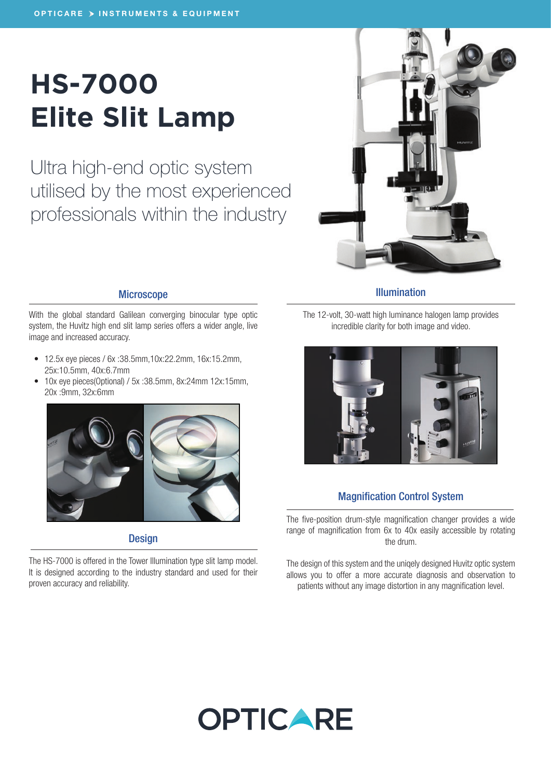# **HS-7000 Elite Slit Lamp**

Ultra high-end optic system utilised by the most experienced professionals within the industry



#### Illumination

**Microscope** 

With the global standard Galilean converging binocular type optic system, the Huvitz high end slit lamp series offers a wider angle, live image and increased accuracy.

- 12.5x eye pieces / 6x :38.5mm,10x:22.2mm, 16x:15.2mm, 25x:10.5mm, 40x:6.7mm
- 10x eye pieces(Optional) / 5x :38.5mm, 8x:24mm 12x:15mm, 20x :9mm, 32x:6mm



**Design** 

The HS-7000 is offered in the Tower Illumination type slit lamp model. It is designed according to the industry standard and used for their proven accuracy and reliability.

The 12-volt, 30-watt high luminance halogen lamp provides incredible clarity for both image and video.



### Magnification Control System

The five-position drum-style magnification changer provides a wide range of magnification from 6x to 40x easily accessible by rotating the drum.

The design of this system and the unigely designed Huvitz optic system allows you to offer a more accurate diagnosis and observation to patients without any image distortion in any magnification level.

# **OPTICARE**